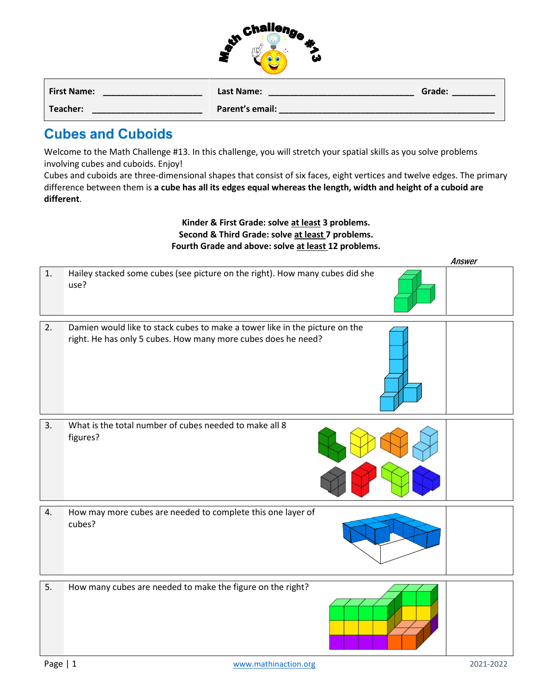|                    | <b>Challeng</b><br>ω |        |
|--------------------|----------------------|--------|
| <b>First Name:</b> | <b>Last Name:</b>    | Grade: |
| Teacher:           | Parent's email:      |        |

..

## **Cubes and Cuboids**

Welcome to the Math Challenge #13. In this challenge, you will stretch your spatial skills as you solve problems involving cubes and cuboids. Enjoy!

Cubes and cuboids are three-dimensional shapes that consist of six faces, eight vertices and twelve edges. The primary difference between them is **a cube has all its edges equal whereas the length, width and height of a cuboid are different**.

## **Kinder & First Grade: solve at least 3 problems. Second & Third Grade: solve at least 7 problems. Fourth Grade and above: solve at least 12 problems.**

|    |                                                                                                                                              | Answer |
|----|----------------------------------------------------------------------------------------------------------------------------------------------|--------|
| 1. | Hailey stacked some cubes (see picture on the right). How many cubes did she<br>use?                                                         |        |
| 2. | Damien would like to stack cubes to make a tower like in the picture on the<br>right. He has only 5 cubes. How many more cubes does he need? |        |
| 3. | What is the total number of cubes needed to make all 8<br>figures?                                                                           |        |
| 4. | How may more cubes are needed to complete this one layer of<br>cubes?                                                                        |        |
| 5. | How many cubes are needed to make the figure on the right?                                                                                   |        |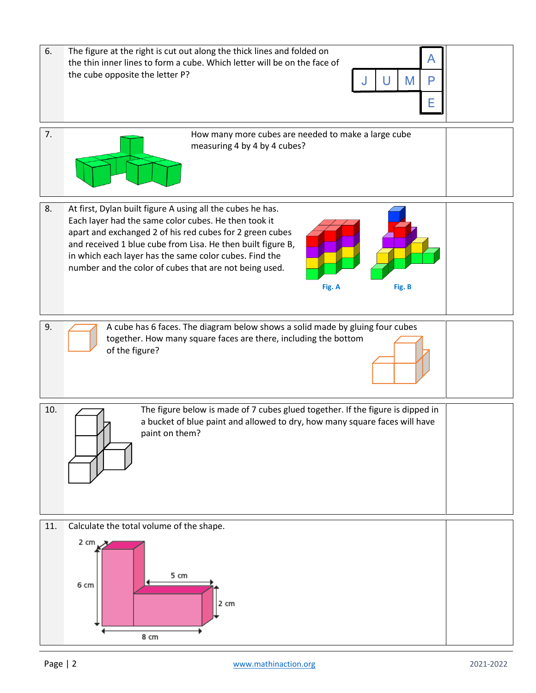